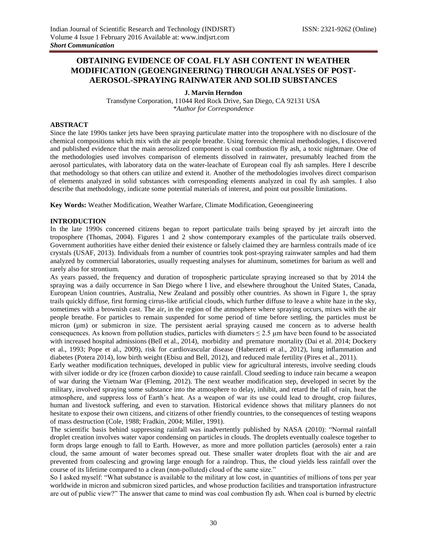# **OBTAINING EVIDENCE OF COAL FLY ASH CONTENT IN WEATHER MODIFICATION (GEOENGINEERING) THROUGH ANALYSES OF POST-AEROSOL-SPRAYING RAINWATER AND SOLID SUBSTANCES**

## **J. Marvin Herndon**

Transdyne Corporation, 11044 Red Rock Drive, San Diego, CA 92131 USA *\*Author for Correspondence*

## **ABSTRACT**

Since the late 1990s tanker jets have been spraying particulate matter into the troposphere with no disclosure of the chemical compositions which mix with the air people breathe. Using forensic chemical methodologies, I discovered and published evidence that the main aerosolized component is coal combustion fly ash, a toxic nightmare. One of the methodologies used involves comparison of elements dissolved in rainwater, presumably leached from the aerosol particulates, with laboratory data on the water-leachate of European coal fly ash samples. Here I describe that methodology so that others can utilize and extend it. Another of the methodologies involves direct comparison of elements analyzed in solid substances with corresponding elements analyzed in coal fly ash samples. I also describe that methodology, indicate some potential materials of interest, and point out possible limitations.

**Key Words:** Weather Modification, Weather Warfare, Climate Modification, Geoengineering

#### **INTRODUCTION**

In the late 1990s concerned citizens began to report particulate trails being sprayed by jet aircraft into the troposphere (Thomas, 2004). Figures 1 and 2 show contemporary examples of the particulate trails observed. Government authorities have either denied their existence or falsely claimed they are harmless contrails made of ice crystals (USAF, 2013). Individuals from a number of countries took post-spraying rainwater samples and had them analyzed by commercial laboratories, usually requesting analyses for aluminum, sometimes for barium as well and rarely also for strontium.

As years passed, the frequency and duration of tropospheric particulate spraying increased so that by 2014 the spraying was a daily occurrence in San Diego where I live, and elsewhere throughout the United States, Canada, European Union countries, Australia, New Zealand and possibly other countries. As shown in Figure 1, the spray trails quickly diffuse, first forming cirrus-like artificial clouds, which further diffuse to leave a white haze in the sky, sometimes with a brownish cast. The air, in the region of the atmosphere where spraying occurs, mixes with the air people breathe. For particles to remain suspended for some period of time before settling, the particles must be micron (µm) or submicron in size. The persistent aerial spraying caused me concern as to adverse health consequences. As known from pollution studies, particles with diameters  $\leq 2.5$  µm have been found to be associated with increased hospital admissions (Bell et al., 2014), morbidity and premature mortality (Dai et al. 2014; Dockery et al., 1993; Pope et al., 2009), risk for cardiovascular disease (Haberzetti et al., 2012), lung inflammation and diabetes (Potera 2014), low birth weight (Ebisu and Bell, 2012), and reduced male fertility (Pires et al., 2011).

Early weather modification techniques, developed in public view for agricultural interests, involve seeding clouds with silver iodide or dry ice (frozen carbon dioxide) to cause rainfall. Cloud seeding to induce rain became a weapon of war during the Vietnam War (Fleming, 2012). The next weather modification step, developed in secret by the military, involved spraying some substance into the atmosphere to delay, inhibit, and retard the fall of rain, heat the atmosphere, and suppress loss of Earth's heat. As a weapon of war its use could lead to drought, crop failures, human and livestock suffering, and even to starvation. Historical evidence shows that military planners do not hesitate to expose their own citizens, and citizens of other friendly countries, to the consequences of testing weapons of mass destruction (Cole, 1988; Fradkin, 2004; Miller, 1991).

The scientific basis behind suppressing rainfall was inadvertently published by NASA (2010): "Normal rainfall droplet creation involves water vapor condensing on particles in clouds. The droplets eventually coalesce together to form drops large enough to fall to Earth. However, as more and more pollution particles (aerosols) enter a rain cloud, the same amount of water becomes spread out. These smaller water droplets float with the air and are prevented from coalescing and growing large enough for a raindrop. Thus, the cloud yields less rainfall over the course of its lifetime compared to a clean (non-polluted) cloud of the same size."

So I asked myself: "What substance is available to the military at low cost, in quantities of millions of tons per year worldwide in micron and submicron sized particles, and whose production facilities and transportation infrastructure are out of public view?" The answer that came to mind was coal combustion fly ash. When coal is burned by electric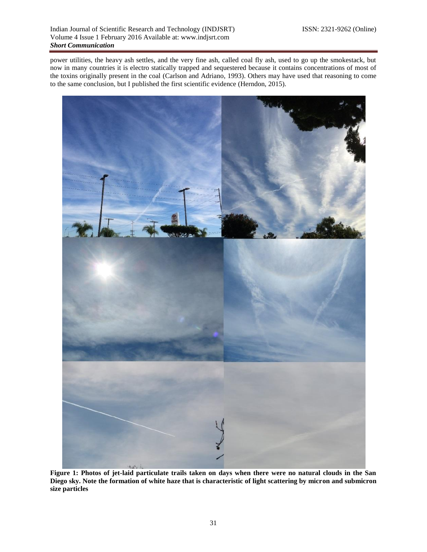power utilities, the heavy ash settles, and the very fine ash, called coal fly ash, used to go up the smokestack, but now in many countries it is electro statically trapped and sequestered because it contains concentrations of most of the toxins originally present in the coal (Carlson and Adriano, 1993). Others may have used that reasoning to come to the same conclusion, but I published the first scientific evidence (Herndon, 2015).



**Figure 1: Photos of jet-laid particulate trails taken on days when there were no natural clouds in the San Diego sky. Note the formation of white haze that is characteristic of light scattering by micron and submicron size particles**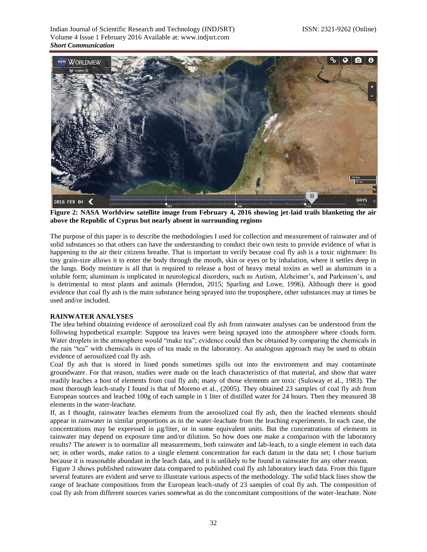Indian Journal of Scientific Research and Technology (INDJSRT) ISSN: 2321-9262 (Online) Volume 4 Issue 1 February 2016 Available at: www.indjsrt.com *Short Communication*



**Figure 2: NASA Worldview satellite image from February 4, 2016 showing jet-laid trails blanketing the air above the Republic of Cyprus but nearly absent in surrounding regions**

The purpose of this paper is to describe the methodologies I used for collection and measurement of rainwater and of solid substances so that others can have the understanding to conduct their own tests to provide evidence of what is happening to the air their citizens breathe. That is important to verify because coal fly ash is a toxic nightmare: Its tiny grain-size allows it to enter the body through the mouth, skin or eyes or by inhalation, where it settles deep in the lungs. Body moisture is all that is required to release a host of heavy metal toxins as well as aluminum in a soluble form; aluminum is implicated in neurological disorders, such as Autism, Alzheimer's, and Parkinson's, and is detrimental to most plants and animals (Herndon, 2015; Sparling and Lowe, 1996). Although there is good evidence that coal fly ash is the main substance being sprayed into the troposphere, other substances may at times be used and/or included.

# **RAINWATER ANALYSES**

The idea behind obtaining evidence of aerosolized coal fly ash from rainwater analyses can be understood from the following hypothetical example: Suppose tea leaves were being sprayed into the atmosphere where clouds form. Water droplets in the atmosphere would "make tea"; evidence could then be obtained by comparing the chemicals in the rain "tea" with chemicals in cups of tea made in the laboratory. An analogous approach may be used to obtain evidence of aerosolized coal fly ash.

Coal fly ash that is stored in lined ponds sometimes spills out into the environment and may contaminate groundwater. For that reason, studies were made on the leach characteristics of that material, and show that water readily leaches a host of elements from coal fly ash; many of those elements are toxic (Suloway et al., 1983). The most thorough leach-study I found is that of Moreno et al., (2005). They obtained 23 samples of coal fly ash from European sources and leached 100g of each sample in 1 liter of distilled water for 24 hours. Then they measured 38 elements in the water-leachate.

If, as I thought, rainwater leaches elements from the aerosolized coal fly ash, then the leached elements should appear in rainwater in similar proportions as in the water-leachate from the leaching experiments. In each case, the concentrations may be expressed in µg/liter, or in some equivalent units. But the concentrations of elements in rainwater may depend on exposure time and/or dilution. So how does one make a comparison with the laboratory results? The answer is to normalize all measurements, both rainwater and lab-leach, to a single element in each data set; in other words, make ratios to a single element concentration for each datum in the data set; I chose barium because it is reasonable abundant in the leach data, and it is unlikely to be found in rainwater for any other reason.

Figure 3 shows published rainwater data compared to published coal fly ash laboratory leach data. From this figure several features are evident and serve to illustrate various aspects of the methodology. The solid black lines show the range of leachate compositions from the European leach-study of 23 samples of coal fly ash. The composition of coal fly ash from different sources varies somewhat as do the concomitant compositions of the water-leachate. Note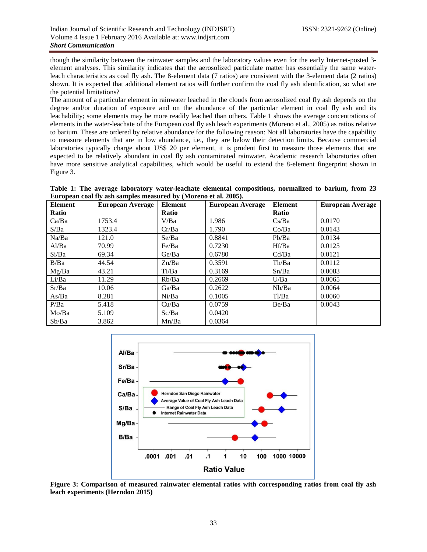though the similarity between the rainwater samples and the laboratory values even for the early Internet-posted 3 element analyses. This similarity indicates that the aerosolized particulate matter has essentially the same waterleach characteristics as coal fly ash. The 8-element data (7 ratios) are consistent with the 3-element data (2 ratios) shown. It is expected that additional element ratios will further confirm the coal fly ash identification, so what are the potential limitations?

The amount of a particular element in rainwater leached in the clouds from aerosolized coal fly ash depends on the degree and/or duration of exposure and on the abundance of the particular element in coal fly ash and its leachability; some elements may be more readily leached than others. Table 1 shows the average concentrations of elements in the water-leachate of the European coal fly ash leach experiments (Moreno et al., 2005) as ratios relative to barium. These are ordered by relative abundance for the following reason: Not all laboratories have the capability to measure elements that are in low abundance, i.e., they are below their detection limits. Because commercial laboratories typically charge about US\$ 20 per element, it is prudent first to measure those elements that are expected to be relatively abundant in coal fly ash contaminated rainwater. Academic research laboratories often have more sensitive analytical capabilities, which would be useful to extend the 8-element fingerprint shown in Figure 3.

**Table 1: The average laboratory water-leachate elemental compositions, normalized to barium, from 23 European coal fly ash samples measured by (Moreno et al. 2005).**

| <b>Element</b> | <b>European Average</b> | <b>Element</b> | <b>European Average</b> | <b>Element</b> | <b>European Average</b> |
|----------------|-------------------------|----------------|-------------------------|----------------|-------------------------|
| Ratio          |                         | <b>Ratio</b>   |                         | <b>Ratio</b>   |                         |
| Ca/Ba          | 1753.4                  | V/Ba           | 1.986                   | Cs/Ba          | 0.0170                  |
| S/Ba           | 1323.4                  | Cr/Ba          | 1.790                   | Co/Ba          | 0.0143                  |
| Na/Ba          | 121.0                   | Se/Ba          | 0.8841                  | Pb/Ba          | 0.0134                  |
| Al/Ba          | 70.99                   | Fe/Ba          | 0.7230                  | Hf/Ba          | 0.0125                  |
| Si/Ba          | 69.34                   | Ge/Ba          | 0.6780                  | Cd/Ba          | 0.0121                  |
| B/Ba           | 44.54                   | Zn/Ba          | 0.3591                  | Th/Ba          | 0.0112                  |
| Mg/Ba          | 43.21                   | Ti/Ba          | 0.3169                  | Sn/Ba          | 0.0083                  |
| Li/Ba          | 11.29                   | Rb/Ba          | 0.2669                  | U/Ba           | 0.0065                  |
| Sr/Ba          | 10.06                   | Ga/Ba          | 0.2622                  | Nb/Ba          | 0.0064                  |
| As/Ba          | 8.281                   | Ni/Ba          | 0.1005                  | Tl/Ba          | 0.0060                  |
| P/Ba           | 5.418                   | Cu/Ba          | 0.0759                  | Be/Ba          | 0.0043                  |
| Mo/Ba          | 5.109                   | Sc/Ba          | 0.0420                  |                |                         |
| Sb/Ba          | 3.862                   | Mn/Ba          | 0.0364                  |                |                         |



**Figure 3: Comparison of measured rainwater elemental ratios with corresponding ratios from coal fly ash leach experiments (Herndon 2015)**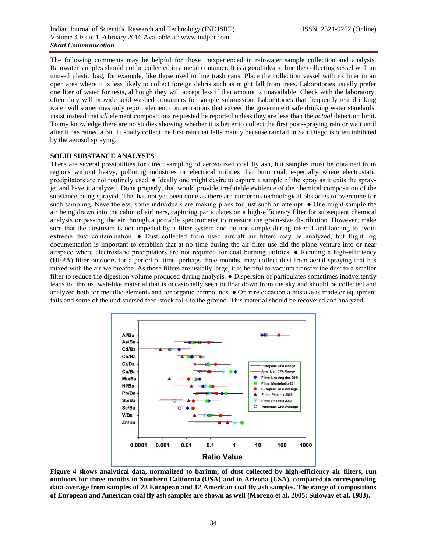The following comments may be helpful for those inexperienced in rainwater sample collection and analysis. Rainwater samples should not be collected in a metal container. It is a good idea to line the collecting vessel with an unused plastic bag, for example, like those used to line trash cans. Place the collection vessel with its liner in an open area where it is less likely to collect foreign debris such as might fall from trees. Laboratories usually prefer one liter of water for tests, although they will accept less if that amount is unavailable. Check with the laboratory; often they will provide acid-washed containers for sample submission. Laboratories that frequently test drinking water will sometimes only report element concentrations that exceed the government safe drinking water standards; insist instead that *all* element compositions requested be reported unless they are less than the *actual* detection limit. To my knowledge there are no studies showing whether it is better to collect the first post-spraying rain or wait until after it has rained a bit. I usually collect the first rain that falls mainly because rainfall in San Diego is often inhibited by the aerosol spraying.

## **SOLID SUBSTANCE ANALYSES**

There are several possibilities for direct sampling of aerosolized coal fly ash, but samples must be obtained from regions without heavy, polluting industries or electrical utilities that burn coal, especially where electrostatic precipitators are not routinely used. ● Ideally one might desire to capture a sample of the spray as it exits the sprayjet and have it analyzed. Done properly, that would provide irrefutable evidence of the chemical composition of the substance being sprayed. This has not yet been done as there are numerous technological obstacles to overcome for such sampling. Nevertheless, some individuals are making plans for just such an attempt. ● One might sample the air being drawn into the cabin of airliners, capturing particulates on a high-efficiency filter for subsequent chemical analysis or passing the air through a portable spectrometer to measure the grain-size distribution. However, make sure that the airstream is not impeded by a filter system and do not sample during takeoff and landing to avoid extreme dust contamination. ● Dust collected from used aircraft air filters may be analyzed, but flight log documentation is important to establish that at no time during the air-filter use did the plane venture into or near airspace where electrostatic precipitators are not required for coal burning utilities. ● Running a high-efficiency (HEPA) filter outdoors for a period of time, perhaps three months, may collect dust from aerial spraying that has mixed with the air we breathe. As those filters are usually large, it is helpful to vacuum transfer the dust to a smaller filter to reduce the digestion volume produced during analysis.  $\bullet$  Dispersion of particulates sometimes inadvertently leads to fibrous, web-like material that is occasionally seen to float down from the sky and should be collected and analyzed both for metallic elements and for organic compounds. ● On rare occasion a mistake is made or equipment fails and some of the undispersed feed-stock falls to the ground. This material should be recovered and analyzed.



**Figure 4 shows analytical data, normalized to barium, of dust collected by high-efficiency air filters, run outdoors for three months in Southern California (USA) and in Arizona (USA), compared to corresponding data-average from samples of 23 European and 12 American coal fly ash samples. The range of compositions of European and American coal fly ash samples are shown as well (Moreno et al. 2005; Suloway et al. 1983).**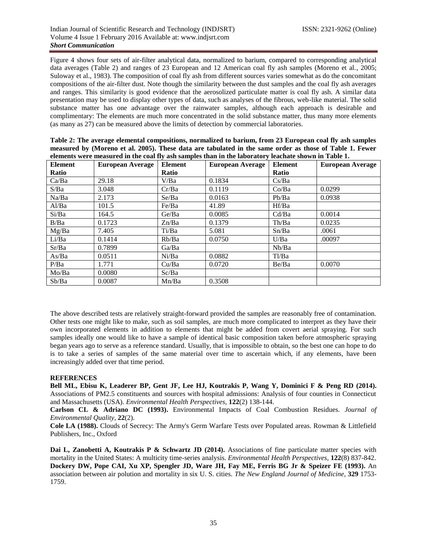Figure 4 shows four sets of air-filter analytical data, normalized to barium, compared to corresponding analytical data averages (Table 2) and ranges of 23 European and 12 American coal fly ash samples (Moreno et al., 2005; Suloway et al., 1983). The composition of coal fly ash from different sources varies somewhat as do the concomitant compositions of the air-filter dust. Note though the similarity between the dust samples and the coal fly ash averages and ranges. This similarity is good evidence that the aerosolized particulate matter is coal fly ash. A similar data presentation may be used to display other types of data, such as analyses of the fibrous, web-like material. The solid substance matter has one advantage over the rainwater samples, although each approach is desirable and complimentary: The elements are much more concentrated in the solid substance matter, thus many more elements (as many as 27) can be measured above the limits of detection by commercial laboratories.

| elements were measured in the coal fly ash samples than in the laboratory leachate shown in Table 1. |                  |         |                         |                |                         |  |  |
|------------------------------------------------------------------------------------------------------|------------------|---------|-------------------------|----------------|-------------------------|--|--|
| Element                                                                                              | European Average | Element | <b>European Average</b> | <b>Element</b> | <b>European Average</b> |  |  |
| Ratio                                                                                                |                  | Ratio   |                         | <b>Ratio</b>   |                         |  |  |
| Ca/Ba                                                                                                | 29.18            | V/Ba    | 0.1834                  | Cs/Ba          |                         |  |  |
| S/Ba                                                                                                 | 3.048            | Cr/Ba   | 0.1119                  | Co/Ba          | 0.0299                  |  |  |
| Na/Ba                                                                                                | 2.173            | Se/Ba   | 0.0163                  | Pb/Ba          | 0.0938                  |  |  |
| Al/Ba                                                                                                | 101.5            | Fe/Ba   | 41.89                   | Hf/Ba          |                         |  |  |
| Si/Ba                                                                                                | 164.5            | Ge/Ba   | 0.0085                  | Cd/Ba          | 0.0014                  |  |  |
| B/Ba                                                                                                 | 0.1723           | Zn/Ba   | 0.1379                  | Th/Ba          | 0.0235                  |  |  |
| Mg/Ba                                                                                                | 7.405            | Ti/Ba   | 5.081                   | Sn/Ba          | .0061                   |  |  |
| Li/Ba                                                                                                | 0.1414           | Rb/Ba   | 0.0750                  | U/Ba           | .00097                  |  |  |
| Sr/Ba                                                                                                | 0.7899           | Ga/Ba   |                         | Nb/Ba          |                         |  |  |
| As/Ba                                                                                                | 0.0511           | Ni/Ba   | 0.0882                  | Tl/Ba          |                         |  |  |
| P/Ba                                                                                                 | 1.771            | Cu/Ba   | 0.0720                  | Be/Ba          | 0.0070                  |  |  |
| Mo/Ba                                                                                                | 0.0080           | Sc/Ba   |                         |                |                         |  |  |
| Sb/Ba                                                                                                | 0.0087           | Mn/Ba   | 0.3508                  |                |                         |  |  |

**Table 2: The average elemental compositions, normalized to barium, from 23 European coal fly ash samples measured by (Moreno et al. 2005). These data are tabulated in the same order as those of Table 1. Fewer elements were measured in the coal fly ash samples than in the laboratory leachate shown in Table 1.**

The above described tests are relatively straight-forward provided the samples are reasonably free of contamination. Other tests one might like to make, such as soil samples, are much more complicated to interpret as they have their own incorporated elements in addition to elements that might be added from covert aerial spraying. For such samples ideally one would like to have a sample of identical basic composition taken before atmospheric spraying began years ago to serve as a reference standard. Usually, that is impossible to obtain, so the best one can hope to do is to take a series of samples of the same material over time to ascertain which, if any elements, have been increasingly added over that time period.

# **REFERENCES**

**Bell ML, Ebisu K, Leaderer BP, Gent JF, Lee HJ, Koutrakis P, Wang Y, Dominici F & Peng RD (2014).** Associations of PM2.5 constituents and sources with hospital admissions: Analysis of four counties in Connecticut and Massachusetts (USA). *Environmental Health Perspectives,* **122**(2) 138-144.

**Carlson CL & Adriano DC (1993).** Environmental Impacts of Coal Combustion Residues*. Journal of Environmental Quality,* **22**(2).

**Cole LA (1988).** Clouds of Secrecy: The Army's Germ Warfare Tests over Populated areas. Rowman & Littlefield Publishers, Inc., Oxford

**Dai L, Zanobetti A, Koutrakis P & Schwartz JD (2014).** Associations of fine particulate matter species with mortality in the United States: A multicity time-series analysis. *Environmental Health Perspectives,* **122**(8) 837-842. **Dockery DW, Pope CAI, Xu XP, Spengler JD, Ware JH, Fay ME, Ferris BG Jr & Speizer FE (1993).** An association between air polution and mortality in six U. S. cities. *The New England Journal of Medicine,* **329** 1753- 1759.